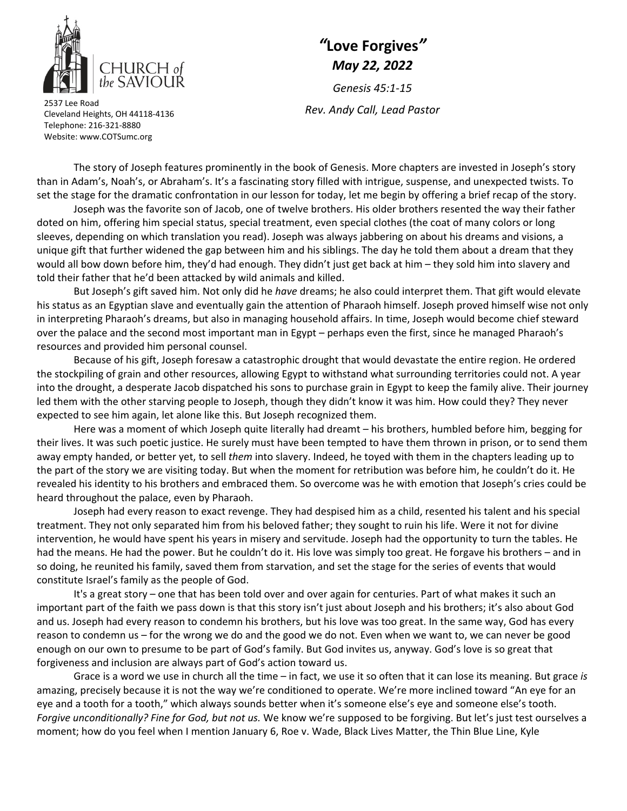

## *"***Love Forgives***" May 22, 2022*

*Genesis 45:1‐15 Rev. Andy Call, Lead Pastor* <sup>2537</sup> Lee Road

Cleveland Heights, OH 44118‐4136 Telephone: 216‐321‐8880 Website: www.COTSumc.org

The story of Joseph features prominently in the book of Genesis. More chapters are invested in Joseph's story than in Adam's, Noah's, or Abraham's. It's a fascinating story filled with intrigue, suspense, and unexpected twists. To set the stage for the dramatic confrontation in our lesson for today, let me begin by offering a brief recap of the story.

Joseph was the favorite son of Jacob, one of twelve brothers. His older brothers resented the way their father doted on him, offering him special status, special treatment, even special clothes (the coat of many colors or long sleeves, depending on which translation you read). Joseph was always jabbering on about his dreams and visions, a unique gift that further widened the gap between him and his siblings. The day he told them about a dream that they would all bow down before him, they'd had enough. They didn't just get back at him – they sold him into slavery and told their father that he'd been attacked by wild animals and killed.

But Joseph's gift saved him. Not only did he *have* dreams; he also could interpret them. That gift would elevate his status as an Egyptian slave and eventually gain the attention of Pharaoh himself. Joseph proved himself wise not only in interpreting Pharaoh's dreams, but also in managing household affairs. In time, Joseph would become chief steward over the palace and the second most important man in Egypt – perhaps even the first, since he managed Pharaoh's resources and provided him personal counsel.

Because of his gift, Joseph foresaw a catastrophic drought that would devastate the entire region. He ordered the stockpiling of grain and other resources, allowing Egypt to withstand what surrounding territories could not. A year into the drought, a desperate Jacob dispatched his sons to purchase grain in Egypt to keep the family alive. Their journey led them with the other starving people to Joseph, though they didn't know it was him. How could they? They never expected to see him again, let alone like this. But Joseph recognized them.

Here was a moment of which Joseph quite literally had dreamt – his brothers, humbled before him, begging for their lives. It was such poetic justice. He surely must have been tempted to have them thrown in prison, or to send them away empty handed, or better yet, to sell *them* into slavery. Indeed, he toyed with them in the chapters leading up to the part of the story we are visiting today. But when the moment for retribution was before him, he couldn't do it. He revealed his identity to his brothers and embraced them. So overcome was he with emotion that Joseph's cries could be heard throughout the palace, even by Pharaoh.

Joseph had every reason to exact revenge. They had despised him as a child, resented his talent and his special treatment. They not only separated him from his beloved father; they sought to ruin his life. Were it not for divine intervention, he would have spent his years in misery and servitude. Joseph had the opportunity to turn the tables. He had the means. He had the power. But he couldn't do it. His love was simply too great. He forgave his brothers – and in so doing, he reunited his family, saved them from starvation, and set the stage for the series of events that would constitute Israel's family as the people of God.

It's a great story – one that has been told over and over again for centuries. Part of what makes it such an important part of the faith we pass down is that this story isn't just about Joseph and his brothers; it's also about God and us. Joseph had every reason to condemn his brothers, but his love was too great. In the same way, God has every reason to condemn us – for the wrong we do and the good we do not. Even when we want to, we can never be good enough on our own to presume to be part of God's family. But God invites us, anyway. God's love is so great that forgiveness and inclusion are always part of God's action toward us.

Grace is a word we use in church all the time – in fact, we use it so often that it can lose its meaning. But grace *is* amazing, precisely because it is not the way we're conditioned to operate. We're more inclined toward "An eye for an eye and a tooth for a tooth," which always sounds better when it's someone else's eye and someone else's tooth. *Forgive unconditionally? Fine for God, but not us.* We know we're supposed to be forgiving. But let's just test ourselves a moment; how do you feel when I mention January 6, Roe v. Wade, Black Lives Matter, the Thin Blue Line, Kyle